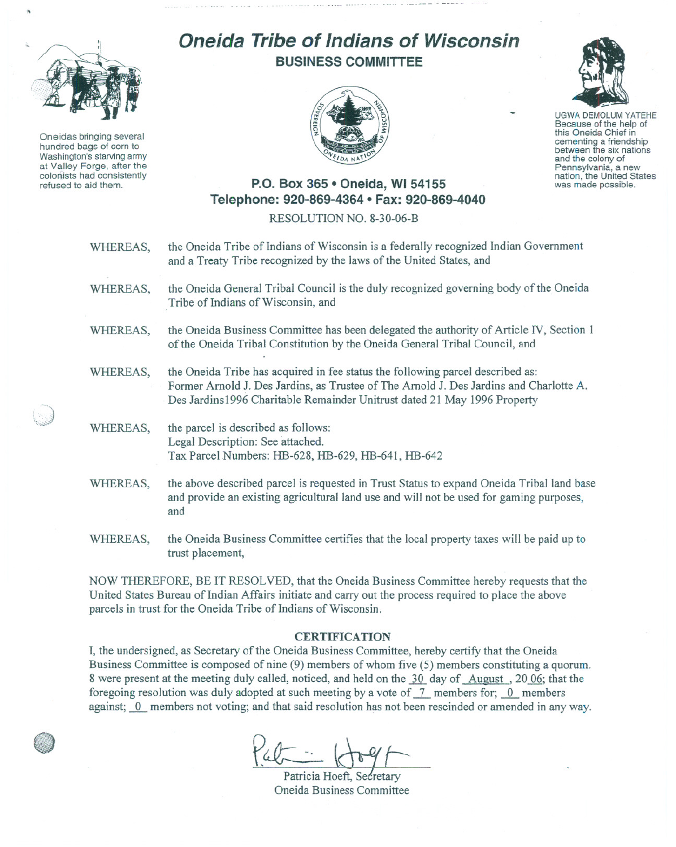

.,

Oneidas bringing several hundred bags of corn to Washington's starving army at Valley Forge, after the colonists had consistently refused to aid them.

,. )~ \ .. , \ .,' *\i.:;.....* -.f....:..•.•.

## **Oneida Tribe of Indians of Wisconsin BUSINESS COMMITTEE**





UGWA DEMOLUM YATEHE Because of the help of this Oneida Chief in<br>cementing a friendship between the six nations and the colony of<br>Pennsylvania, a new Pennsylvania, a new<br>nation, the United States was made possible.

## **P.O. Box 365 • Oneida, WI 54155 Telephone: 920-869-4364 • Fax: 920-869-4040**

RESOLUTION NO. 8-30-06-B

| WHEREAS, | the Oneida Tribe of Indians of Wisconsin is a federally recognized Indian Government<br>and a Treaty Tribe recognized by the laws of the United States, and                                                                                          |
|----------|------------------------------------------------------------------------------------------------------------------------------------------------------------------------------------------------------------------------------------------------------|
| WHEREAS, | the Oneida General Tribal Council is the duly recognized governing body of the Oneida<br>Tribe of Indians of Wisconsin, and                                                                                                                          |
| WHEREAS, | the Oneida Business Committee has been delegated the authority of Article IV, Section 1<br>of the Oneida Tribal Constitution by the Oneida General Tribal Council, and                                                                               |
| WHEREAS, | the Oneida Tribe has acquired in fee status the following parcel described as:<br>Former Arnold J. Des Jardins, as Trustee of The Arnold J. Des Jardins and Charlotte A.<br>Des Jardins1996 Charitable Remainder Unitrust dated 21 May 1996 Property |
| WHEREAS, | the parcel is described as follows:<br>Legal Description: See attached.<br>Tax Parcel Numbers: HB-628, HB-629, HB-641, HB-642                                                                                                                        |
| WHEREAS, | the above described parcel is requested in Trust Status to expand Oneida Tribal land base<br>and provide an existing agricultural land use and will not be used for gaming purposes,<br>and                                                          |
| WHEREAS, | the Oneida Business Committee certifies that the local property taxes will be paid up to<br>trust placement,                                                                                                                                         |

NOW THEREFORE, BE IT RESOLVED, that the Oneida Business Committee hereby requests that the United States Bureau of Indian Affairs initiate and carry out the process required to place the above parcels in trust for the Oneida Tribe of Indians of Wisconsin.

## **CERTIFICATION**

I, the undersigned, as Secretary of the Oneida Business Committee, hereby certify that the Oneida Business Committee is composed of nine (9) members of whom five (5) members constituting a quorum. 8 were present at the meeting duly called, noticed, and held on the 30 day of August, 20.06; that the foregoing resolution was duly adopted at such meeting by a vote of  $\frac{7}{7}$  members for; 0 members against; 0 members not voting; and that said resolution has not been rescinded or amended in any way.

Patricia Hoeft, Secretary Oneida Business Committee